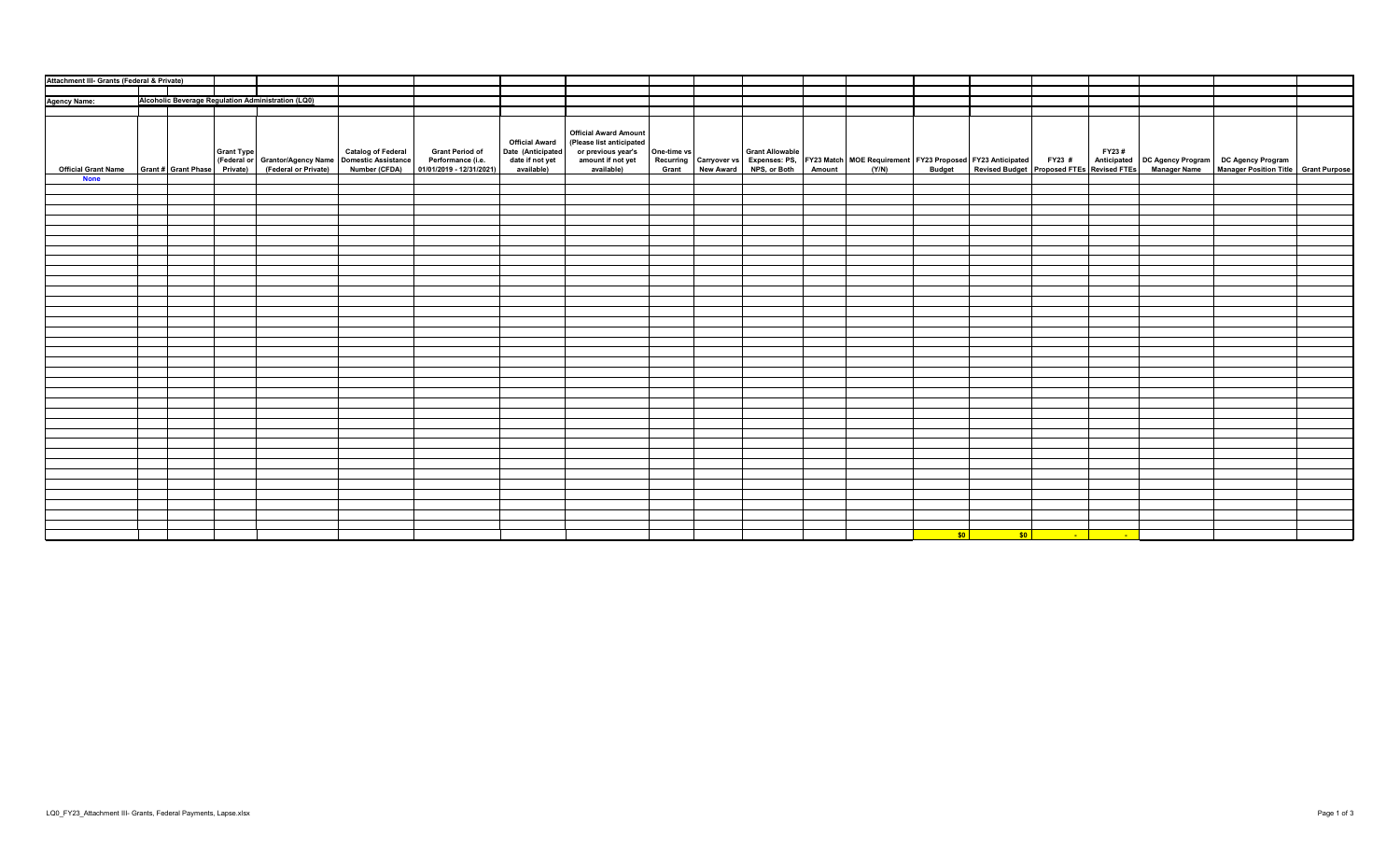| Attachment III- Grants (Federal & Private) |  |  |  |                                                    |  |                                                                                                                                                                                                                                   |                                                                             |                                                                                                                   |  |  |  |                  |                  |                          |                 |                                                                                                                                                                                                       |  |
|--------------------------------------------|--|--|--|----------------------------------------------------|--|-----------------------------------------------------------------------------------------------------------------------------------------------------------------------------------------------------------------------------------|-----------------------------------------------------------------------------|-------------------------------------------------------------------------------------------------------------------|--|--|--|------------------|------------------|--------------------------|-----------------|-------------------------------------------------------------------------------------------------------------------------------------------------------------------------------------------------------|--|
|                                            |  |  |  |                                                    |  |                                                                                                                                                                                                                                   |                                                                             |                                                                                                                   |  |  |  |                  |                  |                          |                 |                                                                                                                                                                                                       |  |
| Agency Name:                               |  |  |  | Alcoholic Beverage Regulation Administration (LQ0) |  |                                                                                                                                                                                                                                   |                                                                             |                                                                                                                   |  |  |  |                  |                  |                          |                 |                                                                                                                                                                                                       |  |
|                                            |  |  |  |                                                    |  |                                                                                                                                                                                                                                   |                                                                             |                                                                                                                   |  |  |  |                  |                  |                          |                 |                                                                                                                                                                                                       |  |
| <b>None</b>                                |  |  |  |                                                    |  | Grant Type Catalog of Federal Grant Period of Ederal (Federal Type Catalog of Federal Grant Period of Ederal (Federal (Federal or Grant or Apple of Domestic Assistance Performance (i.e.<br>Official Grant Name Grant # Grant Ph | <b>Official Award</b><br>Date (Anticipated<br>date if not yet<br>available) | <b>Official Award Amount</b><br>(Please list anticipated<br>or previous year's<br>amount if not yet<br>available) |  |  |  |                  |                  |                          |                 | One-time vs<br>Recurring Carryover vs Grant Allowable<br>Grant New Award NPS, or Both Amount (Y/N) Budget Revised Budget Proposed FTEs Revised FTES Manager Name Manager Position Title Grant Purpose |  |
|                                            |  |  |  |                                                    |  |                                                                                                                                                                                                                                   |                                                                             |                                                                                                                   |  |  |  |                  |                  |                          |                 |                                                                                                                                                                                                       |  |
|                                            |  |  |  |                                                    |  |                                                                                                                                                                                                                                   |                                                                             |                                                                                                                   |  |  |  |                  |                  |                          |                 |                                                                                                                                                                                                       |  |
|                                            |  |  |  |                                                    |  |                                                                                                                                                                                                                                   |                                                                             |                                                                                                                   |  |  |  |                  |                  |                          |                 |                                                                                                                                                                                                       |  |
|                                            |  |  |  |                                                    |  |                                                                                                                                                                                                                                   |                                                                             |                                                                                                                   |  |  |  |                  |                  |                          |                 |                                                                                                                                                                                                       |  |
|                                            |  |  |  |                                                    |  |                                                                                                                                                                                                                                   |                                                                             |                                                                                                                   |  |  |  |                  |                  |                          |                 |                                                                                                                                                                                                       |  |
|                                            |  |  |  |                                                    |  |                                                                                                                                                                                                                                   |                                                                             |                                                                                                                   |  |  |  |                  |                  |                          |                 |                                                                                                                                                                                                       |  |
|                                            |  |  |  |                                                    |  |                                                                                                                                                                                                                                   |                                                                             |                                                                                                                   |  |  |  |                  |                  |                          |                 |                                                                                                                                                                                                       |  |
|                                            |  |  |  |                                                    |  |                                                                                                                                                                                                                                   |                                                                             |                                                                                                                   |  |  |  |                  |                  |                          |                 |                                                                                                                                                                                                       |  |
|                                            |  |  |  |                                                    |  |                                                                                                                                                                                                                                   |                                                                             |                                                                                                                   |  |  |  |                  |                  |                          |                 |                                                                                                                                                                                                       |  |
|                                            |  |  |  |                                                    |  |                                                                                                                                                                                                                                   |                                                                             |                                                                                                                   |  |  |  |                  |                  |                          |                 |                                                                                                                                                                                                       |  |
|                                            |  |  |  |                                                    |  |                                                                                                                                                                                                                                   |                                                                             |                                                                                                                   |  |  |  |                  |                  |                          |                 |                                                                                                                                                                                                       |  |
|                                            |  |  |  |                                                    |  |                                                                                                                                                                                                                                   |                                                                             |                                                                                                                   |  |  |  |                  |                  |                          |                 |                                                                                                                                                                                                       |  |
|                                            |  |  |  |                                                    |  |                                                                                                                                                                                                                                   |                                                                             |                                                                                                                   |  |  |  |                  |                  |                          |                 |                                                                                                                                                                                                       |  |
|                                            |  |  |  |                                                    |  |                                                                                                                                                                                                                                   |                                                                             |                                                                                                                   |  |  |  |                  |                  |                          |                 |                                                                                                                                                                                                       |  |
|                                            |  |  |  |                                                    |  |                                                                                                                                                                                                                                   |                                                                             |                                                                                                                   |  |  |  |                  |                  |                          |                 |                                                                                                                                                                                                       |  |
|                                            |  |  |  |                                                    |  |                                                                                                                                                                                                                                   |                                                                             |                                                                                                                   |  |  |  |                  |                  |                          |                 |                                                                                                                                                                                                       |  |
|                                            |  |  |  |                                                    |  |                                                                                                                                                                                                                                   |                                                                             |                                                                                                                   |  |  |  |                  |                  |                          |                 |                                                                                                                                                                                                       |  |
|                                            |  |  |  |                                                    |  |                                                                                                                                                                                                                                   |                                                                             |                                                                                                                   |  |  |  |                  |                  |                          |                 |                                                                                                                                                                                                       |  |
|                                            |  |  |  |                                                    |  |                                                                                                                                                                                                                                   |                                                                             |                                                                                                                   |  |  |  |                  |                  |                          |                 |                                                                                                                                                                                                       |  |
|                                            |  |  |  |                                                    |  |                                                                                                                                                                                                                                   |                                                                             |                                                                                                                   |  |  |  |                  |                  |                          |                 |                                                                                                                                                                                                       |  |
|                                            |  |  |  |                                                    |  |                                                                                                                                                                                                                                   |                                                                             |                                                                                                                   |  |  |  |                  |                  |                          |                 |                                                                                                                                                                                                       |  |
|                                            |  |  |  |                                                    |  |                                                                                                                                                                                                                                   |                                                                             |                                                                                                                   |  |  |  |                  |                  |                          |                 |                                                                                                                                                                                                       |  |
|                                            |  |  |  |                                                    |  |                                                                                                                                                                                                                                   |                                                                             |                                                                                                                   |  |  |  |                  |                  |                          |                 |                                                                                                                                                                                                       |  |
|                                            |  |  |  |                                                    |  |                                                                                                                                                                                                                                   |                                                                             |                                                                                                                   |  |  |  |                  |                  |                          |                 |                                                                                                                                                                                                       |  |
|                                            |  |  |  |                                                    |  |                                                                                                                                                                                                                                   |                                                                             |                                                                                                                   |  |  |  |                  |                  |                          |                 |                                                                                                                                                                                                       |  |
|                                            |  |  |  |                                                    |  |                                                                                                                                                                                                                                   |                                                                             |                                                                                                                   |  |  |  |                  |                  |                          |                 |                                                                                                                                                                                                       |  |
|                                            |  |  |  |                                                    |  |                                                                                                                                                                                                                                   |                                                                             |                                                                                                                   |  |  |  |                  |                  |                          |                 |                                                                                                                                                                                                       |  |
|                                            |  |  |  |                                                    |  |                                                                                                                                                                                                                                   |                                                                             |                                                                                                                   |  |  |  |                  |                  |                          |                 |                                                                                                                                                                                                       |  |
|                                            |  |  |  |                                                    |  |                                                                                                                                                                                                                                   |                                                                             |                                                                                                                   |  |  |  |                  |                  |                          |                 |                                                                                                                                                                                                       |  |
|                                            |  |  |  |                                                    |  |                                                                                                                                                                                                                                   |                                                                             |                                                                                                                   |  |  |  |                  |                  |                          |                 |                                                                                                                                                                                                       |  |
|                                            |  |  |  |                                                    |  |                                                                                                                                                                                                                                   |                                                                             |                                                                                                                   |  |  |  |                  |                  |                          |                 |                                                                                                                                                                                                       |  |
|                                            |  |  |  |                                                    |  |                                                                                                                                                                                                                                   |                                                                             |                                                                                                                   |  |  |  |                  |                  |                          |                 |                                                                                                                                                                                                       |  |
|                                            |  |  |  |                                                    |  |                                                                                                                                                                                                                                   |                                                                             |                                                                                                                   |  |  |  |                  |                  |                          |                 |                                                                                                                                                                                                       |  |
|                                            |  |  |  |                                                    |  |                                                                                                                                                                                                                                   |                                                                             |                                                                                                                   |  |  |  | $s$ <sub>0</sub> | $\sim$ so $\mid$ | <b>Contract Contract</b> | <b>Contract</b> |                                                                                                                                                                                                       |  |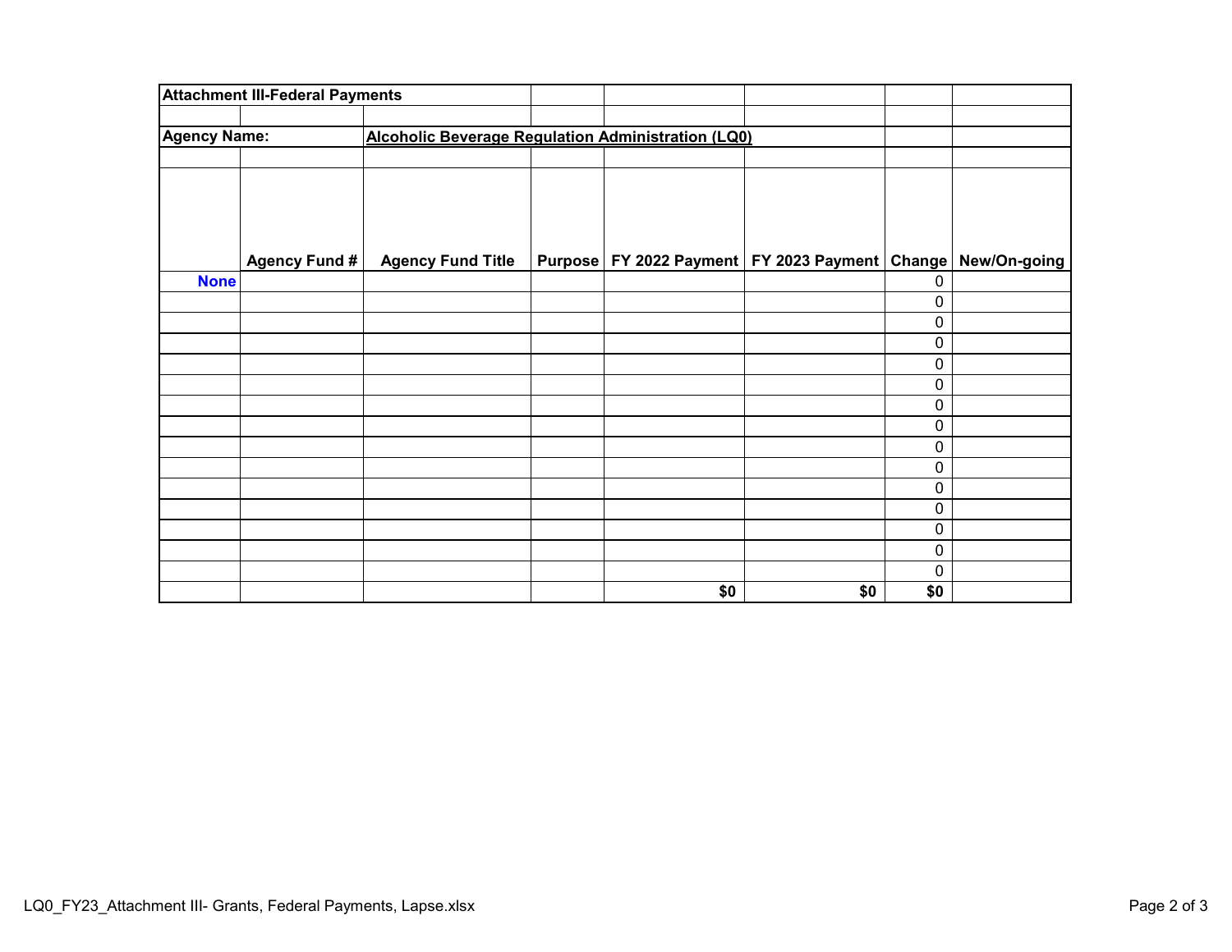|                     | <b>Attachment III-Federal Payments</b> |                                                           |     |                                                      |     |              |
|---------------------|----------------------------------------|-----------------------------------------------------------|-----|------------------------------------------------------|-----|--------------|
| <b>Agency Name:</b> |                                        | <b>Alcoholic Beverage Regulation Administration (LQ0)</b> |     |                                                      |     |              |
|                     |                                        |                                                           |     |                                                      |     |              |
|                     |                                        |                                                           |     |                                                      |     |              |
|                     |                                        |                                                           |     |                                                      |     |              |
|                     | Agency Fund #                          | <b>Agency Fund Title</b>                                  |     | Purpose   FY 2022 Payment   FY 2023 Payment   Change |     | New/On-going |
| <b>None</b>         |                                        |                                                           |     |                                                      | 0   |              |
|                     |                                        |                                                           |     |                                                      | 0   |              |
|                     |                                        |                                                           |     |                                                      | 0   |              |
|                     |                                        |                                                           |     |                                                      | 0   |              |
|                     |                                        |                                                           |     |                                                      | 0   |              |
|                     |                                        |                                                           |     |                                                      | 0   |              |
|                     |                                        |                                                           |     |                                                      | 0   |              |
|                     |                                        |                                                           |     |                                                      | 0   |              |
|                     |                                        |                                                           |     |                                                      | 0   |              |
|                     |                                        |                                                           |     |                                                      | 0   |              |
|                     |                                        |                                                           |     |                                                      | 0   |              |
|                     |                                        |                                                           |     |                                                      | 0   |              |
|                     |                                        |                                                           |     |                                                      | 0   |              |
|                     |                                        |                                                           |     |                                                      | 0   |              |
|                     |                                        |                                                           |     |                                                      | 0   |              |
|                     |                                        |                                                           | \$0 | \$0                                                  | \$0 |              |